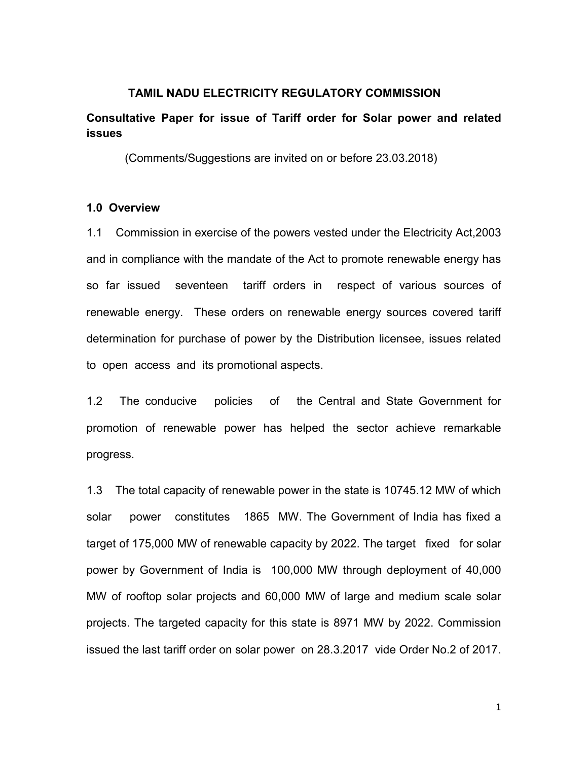### TAMIL NADU ELECTRICITY REGULATORY COMMISSION

## Consultative Paper for issue of Tariff order for Solar power and related issues

(Comments/Suggestions are invited on or before 23.03.2018)

### 1.0 Overview

1.1 Commission in exercise of the powers vested under the Electricity Act,2003 and in compliance with the mandate of the Act to promote renewable energy has so far issued seventeen tariff orders in respect of various sources of renewable energy. These orders on renewable energy sources covered tariff determination for purchase of power by the Distribution licensee, issues related to open access and its promotional aspects.

1.2 The conducive policies of the Central and State Government for promotion of renewable power has helped the sector achieve remarkable progress.

1.3 The total capacity of renewable power in the state is 10745.12 MW of which solar power constitutes 1865 MW. The Government of India has fixed a target of 175,000 MW of renewable capacity by 2022. The target fixed for solar power by Government of India is 100,000 MW through deployment of 40,000 MW of rooftop solar projects and 60,000 MW of large and medium scale solar projects. The targeted capacity for this state is 8971 MW by 2022. Commission issued the last tariff order on solar power on 28.3.2017 vide Order No.2 of 2017.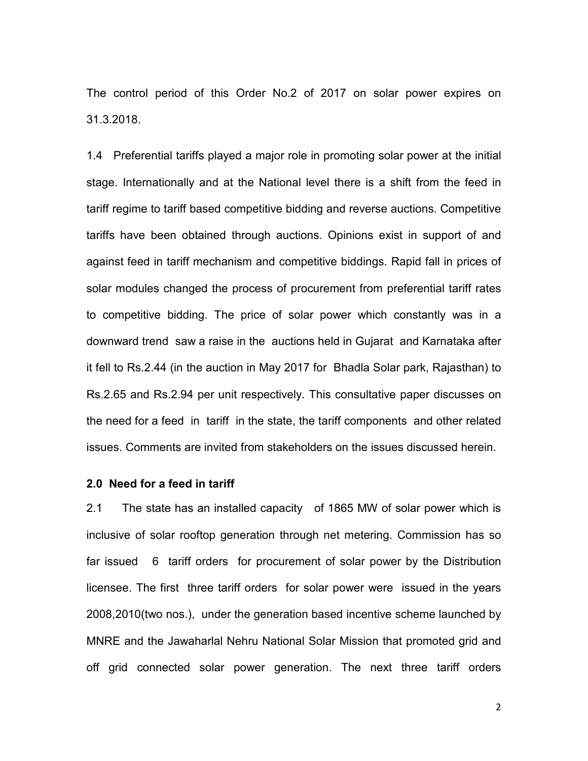The control period of this Order No.2 of 2017 on solar power expires on 31.3.2018.

1.4 Preferential tariffs played a major role in promoting solar power at the initial stage. Internationally and at the National level there is a shift from the feed in tariff regime to tariff based competitive bidding and reverse auctions. Competitive tariffs have been obtained through auctions. Opinions exist in support of and against feed in tariff mechanism and competitive biddings. Rapid fall in prices of solar modules changed the process of procurement from preferential tariff rates to competitive bidding. The price of solar power which constantly was in a downward trend saw a raise in the auctions held in Gujarat and Karnataka after it fell to Rs.2.44 (in the auction in May 2017 for Bhadla Solar park, Rajasthan) to Rs.2.65 and Rs.2.94 per unit respectively. This consultative paper discusses on the need for a feed in tariff in the state, the tariff components and other related issues. Comments are invited from stakeholders on the issues discussed herein.

#### 2.0 Need for a feed in tariff

2.1 The state has an installed capacity of 1865 MW of solar power which is inclusive of solar rooftop generation through net metering. Commission has so far issued 6 tariff orders for procurement of solar power by the Distribution licensee. The first three tariff orders for solar power were issued in the years 2008,2010(two nos.), under the generation based incentive scheme launched by MNRE and the Jawaharlal Nehru National Solar Mission that promoted grid and off grid connected solar power generation. The next three tariff orders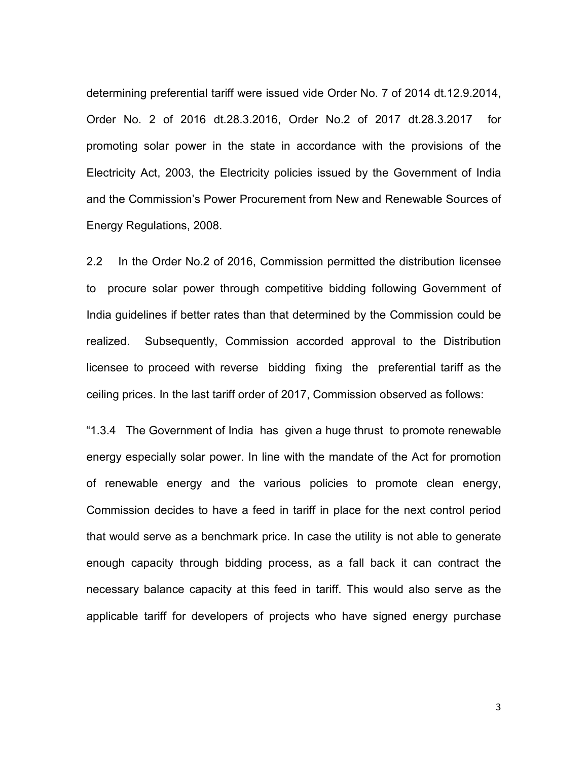determining preferential tariff were issued vide Order No. 7 of 2014 dt.12.9.2014, Order No. 2 of 2016 dt.28.3.2016, Order No.2 of 2017 dt.28.3.2017 for promoting solar power in the state in accordance with the provisions of the Electricity Act, 2003, the Electricity policies issued by the Government of India and the Commission's Power Procurement from New and Renewable Sources of Energy Regulations, 2008.

2.2 In the Order No.2 of 2016, Commission permitted the distribution licensee to procure solar power through competitive bidding following Government of India guidelines if better rates than that determined by the Commission could be realized. Subsequently, Commission accorded approval to the Distribution licensee to proceed with reverse bidding fixing the preferential tariff as the ceiling prices. In the last tariff order of 2017, Commission observed as follows:

"1.3.4 The Government of India has given a huge thrust to promote renewable energy especially solar power. In line with the mandate of the Act for promotion of renewable energy and the various policies to promote clean energy, Commission decides to have a feed in tariff in place for the next control period that would serve as a benchmark price. In case the utility is not able to generate enough capacity through bidding process, as a fall back it can contract the necessary balance capacity at this feed in tariff. This would also serve as the applicable tariff for developers of projects who have signed energy purchase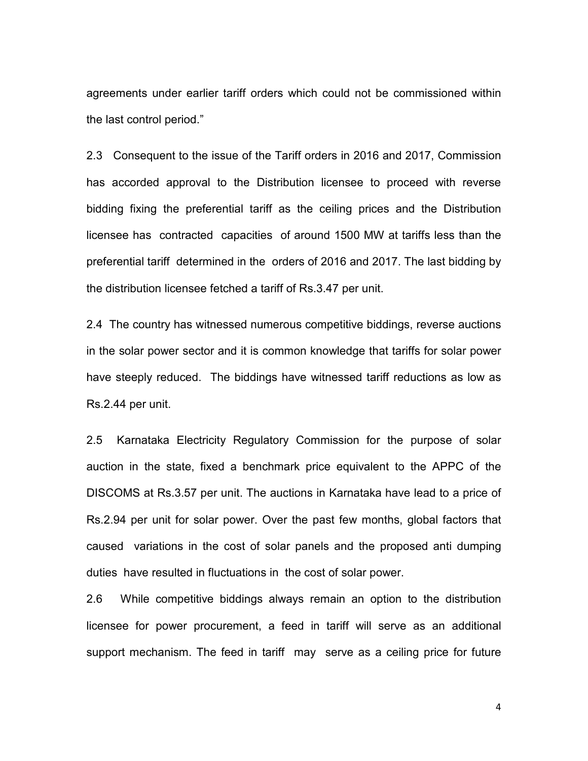agreements under earlier tariff orders which could not be commissioned within the last control period."

2.3 Consequent to the issue of the Tariff orders in 2016 and 2017, Commission has accorded approval to the Distribution licensee to proceed with reverse bidding fixing the preferential tariff as the ceiling prices and the Distribution licensee has contracted capacities of around 1500 MW at tariffs less than the preferential tariff determined in the orders of 2016 and 2017. The last bidding by the distribution licensee fetched a tariff of Rs.3.47 per unit.

2.4 The country has witnessed numerous competitive biddings, reverse auctions in the solar power sector and it is common knowledge that tariffs for solar power have steeply reduced. The biddings have witnessed tariff reductions as low as Rs.2.44 per unit.

2.5 Karnataka Electricity Regulatory Commission for the purpose of solar auction in the state, fixed a benchmark price equivalent to the APPC of the DISCOMS at Rs.3.57 per unit. The auctions in Karnataka have lead to a price of Rs.2.94 per unit for solar power. Over the past few months, global factors that caused variations in the cost of solar panels and the proposed anti dumping duties have resulted in fluctuations in the cost of solar power.

2.6 While competitive biddings always remain an option to the distribution licensee for power procurement, a feed in tariff will serve as an additional support mechanism. The feed in tariff may serve as a ceiling price for future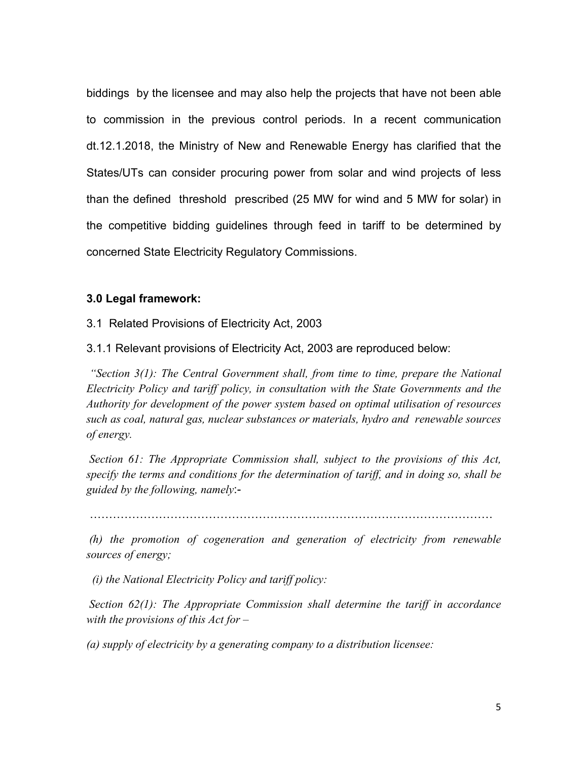biddings by the licensee and may also help the projects that have not been able to commission in the previous control periods. In a recent communication dt.12.1.2018, the Ministry of New and Renewable Energy has clarified that the States/UTs can consider procuring power from solar and wind projects of less than the defined threshold prescribed (25 MW for wind and 5 MW for solar) in the competitive bidding guidelines through feed in tariff to be determined by concerned State Electricity Regulatory Commissions.

### 3.0 Legal framework:

3.1 Related Provisions of Electricity Act, 2003

3.1.1 Relevant provisions of Electricity Act, 2003 are reproduced below:

"Section 3(1): The Central Government shall, from time to time, prepare the National Electricity Policy and tariff policy, in consultation with the State Governments and the Authority for development of the power system based on optimal utilisation of resources such as coal, natural gas, nuclear substances or materials, hydro and renewable sources of energy.

Section 61: The Appropriate Commission shall, subject to the provisions of this Act, specify the terms and conditions for the determination of tariff, and in doing so, shall be guided by the following, namely:-

BBBBBBBBBBBBBBBBBBBBBBBBBBBBBBBBBBB

 (h) the promotion of cogeneration and generation of electricity from renewable sources of energy;

(i) the National Electricity Policy and tariff policy:

Section 62(1): The Appropriate Commission shall determine the tariff in accordance with the provisions of this  $Act$  for  $-$ 

(a) supply of electricity by a generating company to a distribution licensee: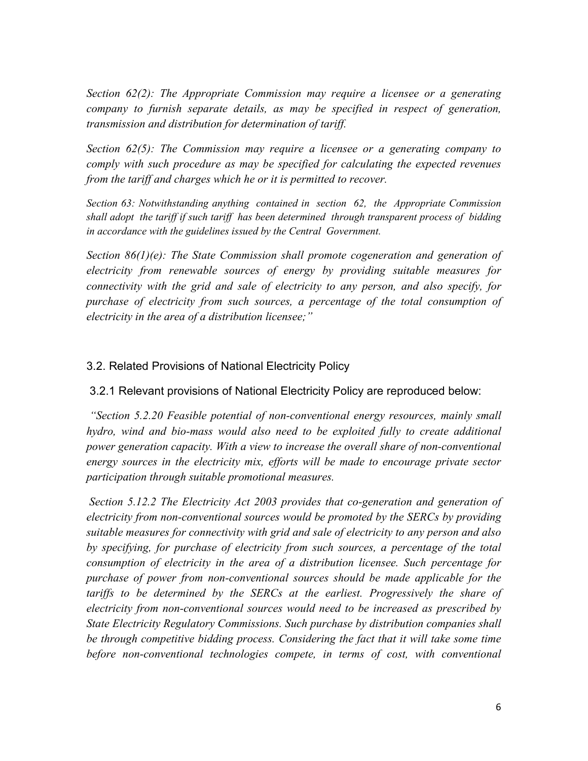Section 62(2): The Appropriate Commission may require a licensee or a generating company to furnish separate details, as may be specified in respect of generation, transmission and distribution for determination of tariff.

Section 62(5): The Commission may require a licensee or a generating company to comply with such procedure as may be specified for calculating the expected revenues from the tariff and charges which he or it is permitted to recover.

Section 63: Notwithstanding anything contained in section 62, the Appropriate Commission shall adopt the tariff if such tariff has been determined through transparent process of bidding in accordance with the guidelines issued by the Central Government.

Section 86(1)(e): The State Commission shall promote cogeneration and generation of electricity from renewable sources of energy by providing suitable measures for connectivity with the grid and sale of electricity to any person, and also specify, for purchase of electricity from such sources, a percentage of the total consumption of electricity in the area of a distribution licensee;"

## 3.2. Related Provisions of National Electricity Policy

3.2.1 Relevant provisions of National Electricity Policy are reproduced below:

"Section 5.2.20 Feasible potential of non-conventional energy resources, mainly small hydro, wind and bio-mass would also need to be exploited fully to create additional power generation capacity. With a view to increase the overall share of non-conventional energy sources in the electricity mix, efforts will be made to encourage private sector participation through suitable promotional measures.

 Section 5.12.2 The Electricity Act 2003 provides that co-generation and generation of electricity from non-conventional sources would be promoted by the SERCs by providing suitable measures for connectivity with grid and sale of electricity to any person and also by specifying, for purchase of electricity from such sources, a percentage of the total consumption of electricity in the area of a distribution licensee. Such percentage for purchase of power from non-conventional sources should be made applicable for the tariffs to be determined by the SERCs at the earliest. Progressively the share of electricity from non-conventional sources would need to be increased as prescribed by State Electricity Regulatory Commissions. Such purchase by distribution companies shall be through competitive bidding process. Considering the fact that it will take some time before non-conventional technologies compete, in terms of cost, with conventional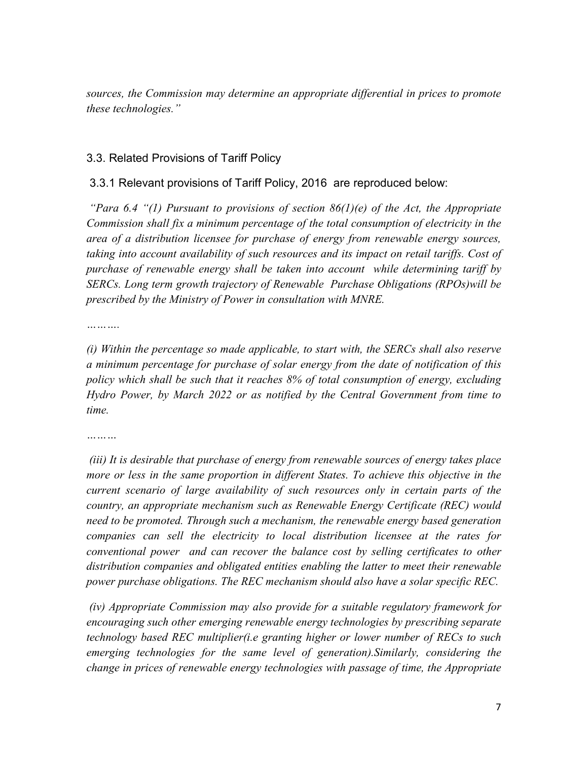sources, the Commission may determine an appropriate differential in prices to promote these technologies."

### 3.3. Related Provisions of Tariff Policy

### 3.3.1 Relevant provisions of Tariff Policy, 2016 are reproduced below:

"Para 6.4 "(1) Pursuant to provisions of section  $86(1)(e)$  of the Act, the Appropriate Commission shall fix a minimum percentage of the total consumption of electricity in the area of a distribution licensee for purchase of energy from renewable energy sources, taking into account availability of such resources and its impact on retail tariffs. Cost of purchase of renewable energy shall be taken into account while determining tariff by SERCs. Long term growth trajectory of Renewable Purchase Obligations (RPOs)will be prescribed by the Ministry of Power in consultation with MNRE.

…………

(i) Within the percentage so made applicable, to start with, the SERCs shall also reserve a minimum percentage for purchase of solar energy from the date of notification of this policy which shall be such that it reaches 8% of total consumption of energy, excluding Hydro Power, by March 2022 or as notified by the Central Government from time to time.

 (iii) It is desirable that purchase of energy from renewable sources of energy takes place more or less in the same proportion in different States. To achieve this objective in the current scenario of large availability of such resources only in certain parts of the country, an appropriate mechanism such as Renewable Energy Certificate (REC) would need to be promoted. Through such a mechanism, the renewable energy based generation companies can sell the electricity to local distribution licensee at the rates for conventional power and can recover the balance cost by selling certificates to other distribution companies and obligated entities enabling the latter to meet their renewable power purchase obligations. The REC mechanism should also have a solar specific REC.

 (iv) Appropriate Commission may also provide for a suitable regulatory framework for encouraging such other emerging renewable energy technologies by prescribing separate technology based REC multiplier(i.e granting higher or lower number of RECs to such emerging technologies for the same level of generation).Similarly, considering the change in prices of renewable energy technologies with passage of time, the Appropriate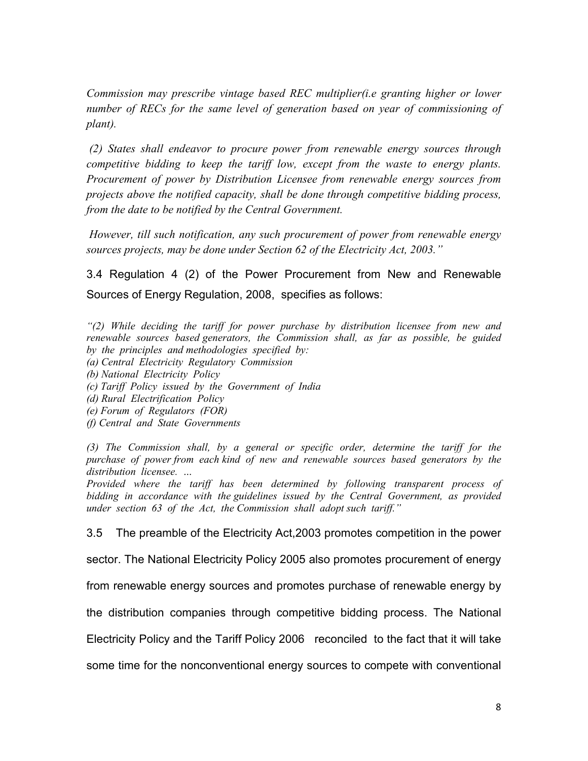Commission may prescribe vintage based REC multiplier(i.e granting higher or lower number of RECs for the same level of generation based on year of commissioning of plant).

 (2) States shall endeavor to procure power from renewable energy sources through competitive bidding to keep the tariff low, except from the waste to energy plants. Procurement of power by Distribution Licensee from renewable energy sources from projects above the notified capacity, shall be done through competitive bidding process, from the date to be notified by the Central Government.

 However, till such notification, any such procurement of power from renewable energy sources projects, may be done under Section 62 of the Electricity Act, 2003."

3.4 Regulation 4 (2) of the Power Procurement from New and Renewable Sources of Energy Regulation, 2008, specifies as follows:

 $\binom{1}{2}$  While deciding the tariff for power purchase by distribution licensee from new and renewable sources based generators, the Commission shall, as far as possible, be guided by the principles and methodologies specified by:

- (a) Central Electricity Regulatory Commission
- (b) National Electricity Policy
- (c) Tariff Policy issued by the Government of India
- (d) Rural Electrification Policy
- (e) Forum of Regulators (FOR)
- (f) Central and State Governments

(3) The Commission shall, by a general or specific order, determine the tariff for the purchase of power from each kind of new and renewable sources based generators by the distribution licensee.

Provided where the tariff has been determined by following transparent process of bidding in accordance with the guidelines issued by the Central Government, as provided under section 63 of the Act, the Commission shall adopt such tariff."

3.5 The preamble of the Electricity Act,2003 promotes competition in the power

sector. The National Electricity Policy 2005 also promotes procurement of energy

from renewable energy sources and promotes purchase of renewable energy by

the distribution companies through competitive bidding process. The National

Electricity Policy and the Tariff Policy 2006 reconciled to the fact that it will take

some time for the nonconventional energy sources to compete with conventional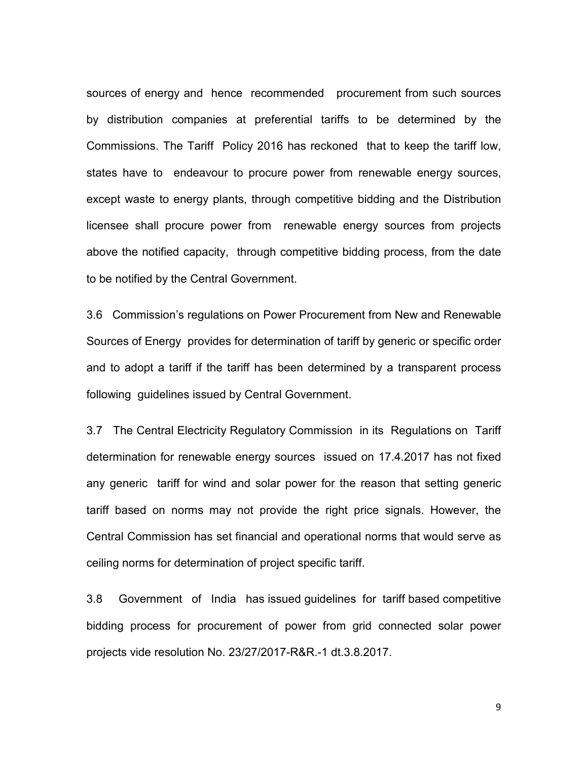sources of energy and hence recommended procurement from such sources by distribution companies at preferential tariffs to be determined by the Commissions. The Tariff Policy 2016 has reckoned that to keep the tariff low, states have to endeavour to procure power from renewable energy sources, except waste to energy plants, through competitive bidding and the Distribution licensee shall procure power from renewable energy sources from projects above the notified capacity, through competitive bidding process, from the date to be notified by the Central Government.

3.6 Commission's regulations on Power Procurement from New and Renewable Sources of Energy provides for determination of tariff by generic or specific order and to adopt a tariff if the tariff has been determined by a transparent process following guidelines issued by Central Government.

3.7 The Central Electricity Regulatory Commission in its Regulations on Tariff determination for renewable energy sources issued on 17.4.2017 has not fixed any generic tariff for wind and solar power for the reason that setting generic tariff based on norms may not provide the right price signals. However, the Central Commission has set financial and operational norms that would serve as ceiling norms for determination of project specific tariff.

3.8 Government of India has issued guidelines for tariff based competitive bidding process for procurement of power from grid connected solar power projects vide resolution No. 23/27/2017-R&R.-1 dt.3.8.2017.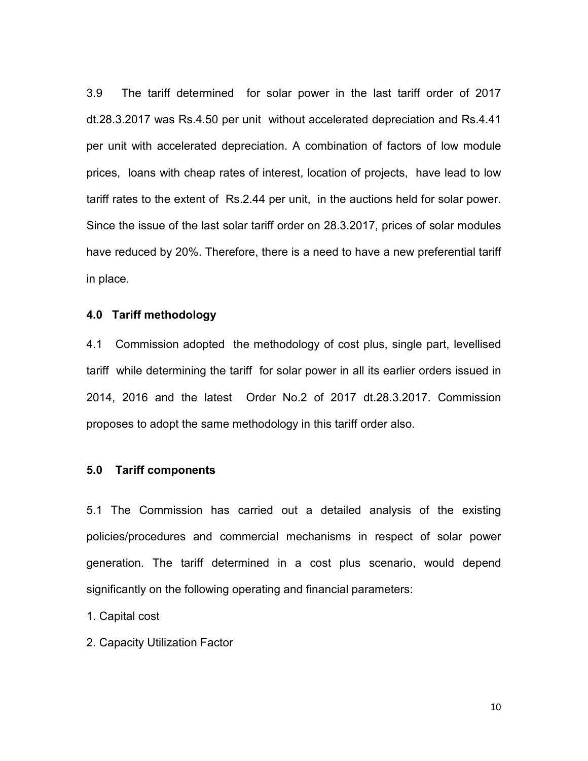3.9 The tariff determined for solar power in the last tariff order of 2017 dt.28.3.2017 was Rs.4.50 per unit without accelerated depreciation and Rs.4.41 per unit with accelerated depreciation. A combination of factors of low module prices, loans with cheap rates of interest, location of projects, have lead to low tariff rates to the extent of Rs.2.44 per unit, in the auctions held for solar power. Since the issue of the last solar tariff order on 28.3.2017, prices of solar modules have reduced by 20%. Therefore, there is a need to have a new preferential tariff in place.

#### 4.0 Tariff methodology

4.1 Commission adopted the methodology of cost plus, single part, levellised tariff while determining the tariff for solar power in all its earlier orders issued in 2014, 2016 and the latest Order No.2 of 2017 dt.28.3.2017. Commission proposes to adopt the same methodology in this tariff order also.

### 5.0 Tariff components

5.1 The Commission has carried out a detailed analysis of the existing policies/procedures and commercial mechanisms in respect of solar power generation. The tariff determined in a cost plus scenario, would depend significantly on the following operating and financial parameters:

1. Capital cost

2. Capacity Utilization Factor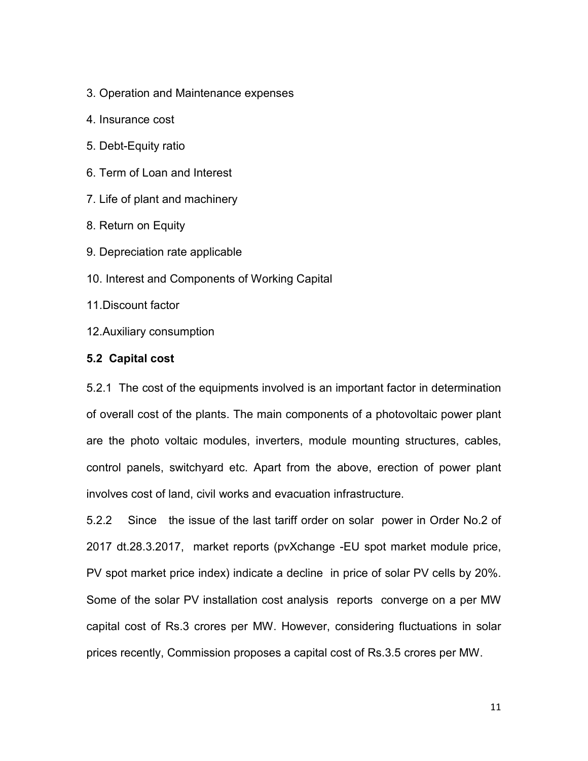- 3. Operation and Maintenance expenses
- 4. Insurance cost
- 5. Debt-Equity ratio
- 6. Term of Loan and Interest
- 7. Life of plant and machinery
- 8. Return on Equity
- 9. Depreciation rate applicable
- 10. Interest and Components of Working Capital
- 11.Discount factor
- 12.Auxiliary consumption

#### 5.2 Capital cost

5.2.1 The cost of the equipments involved is an important factor in determination of overall cost of the plants. The main components of a photovoltaic power plant are the photo voltaic modules, inverters, module mounting structures, cables, control panels, switchyard etc. Apart from the above, erection of power plant involves cost of land, civil works and evacuation infrastructure.

5.2.2 Since the issue of the last tariff order on solar power in Order No.2 of 2017 dt.28.3.2017, market reports (pvXchange -EU spot market module price, PV spot market price index) indicate a decline in price of solar PV cells by 20%. Some of the solar PV installation cost analysis reports converge on a per MW capital cost of Rs.3 crores per MW. However, considering fluctuations in solar prices recently, Commission proposes a capital cost of Rs.3.5 crores per MW.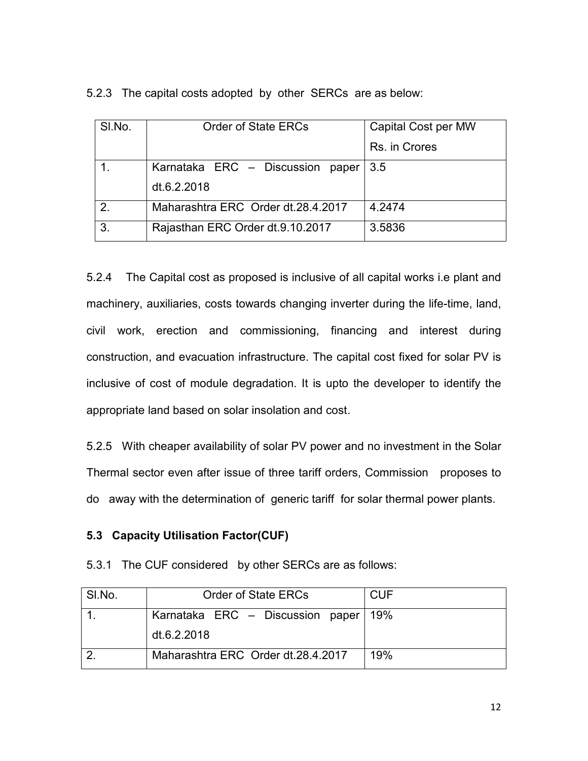5.2.3 The capital costs adopted by other SERCs are as below:

| SI.No.         | <b>Order of State ERCs</b>         | Capital Cost per MW |
|----------------|------------------------------------|---------------------|
|                |                                    | Rs. in Crores       |
|                | Karnataka ERC - Discussion paper   | 3.5                 |
|                | dt.6.2.2018                        |                     |
| 2 <sub>1</sub> | Maharashtra ERC Order dt.28.4.2017 | 4.2474              |
| 3.             | Rajasthan ERC Order dt.9.10.2017   | 3.5836              |

5.2.4 The Capital cost as proposed is inclusive of all capital works i.e plant and machinery, auxiliaries, costs towards changing inverter during the life-time, land, civil work, erection and commissioning, financing and interest during construction, and evacuation infrastructure. The capital cost fixed for solar PV is inclusive of cost of module degradation. It is upto the developer to identify the appropriate land based on solar insolation and cost.

5.2.5 With cheaper availability of solar PV power and no investment in the Solar Thermal sector even after issue of three tariff orders, Commission proposes to do away with the determination of generic tariff for solar thermal power plants.

# 5.3 Capacity Utilisation Factor(CUF)

5.3.1 The CUF considered by other SERCs are as follows:

| SI.No. | <b>Order of State ERCs</b>         | <b>CUF</b> |
|--------|------------------------------------|------------|
|        | Karnataka ERC - Discussion paper   | 19%        |
|        | dt.6.2.2018                        |            |
|        | Maharashtra ERC Order dt.28.4.2017 | 19%        |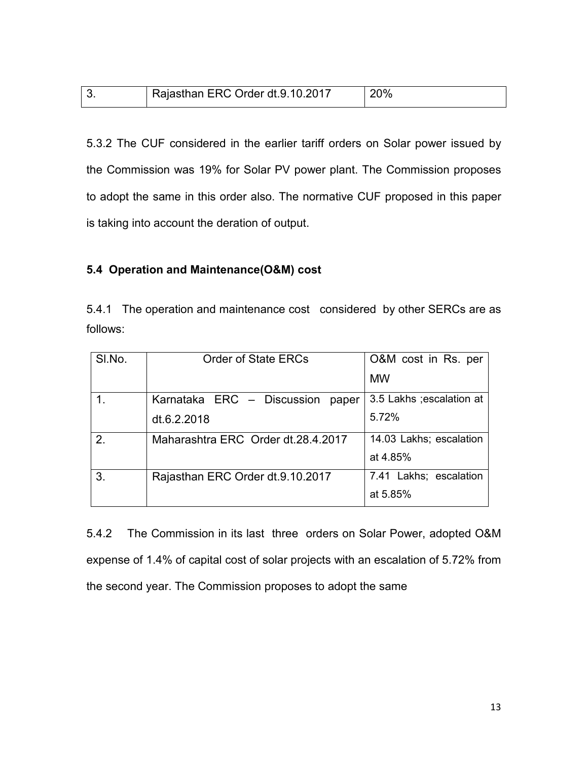| 20%<br>Rajasthan ERC Order dt.9.10.2017 |
|-----------------------------------------|
|-----------------------------------------|

5.3.2 The CUF considered in the earlier tariff orders on Solar power issued by the Commission was 19% for Solar PV power plant. The Commission proposes to adopt the same in this order also. The normative CUF proposed in this paper is taking into account the deration of output.

### 5.4 Operation and Maintenance(O&M) cost

5.4.1 The operation and maintenance cost considered by other SERCs are as follows:

| SI.No.         | <b>Order of State ERCs</b>          | O&M cost in Rs. per       |
|----------------|-------------------------------------|---------------------------|
|                |                                     | <b>MW</b>                 |
| $\mathbf 1$ .  | Karnataka ERC - Discussion<br>paper | 3.5 Lakhs ; escalation at |
|                | dt.6.2.2018                         | 5.72%                     |
| 2 <sub>1</sub> | Maharashtra ERC Order dt. 28.4.2017 | 14.03 Lakhs; escalation   |
|                |                                     | at 4.85%                  |
| 3.             | Rajasthan ERC Order dt.9.10.2017    | 7.41 Lakhs; escalation    |
|                |                                     | at 5.85%                  |

5.4.2 The Commission in its last three orders on Solar Power, adopted O&M expense of 1.4% of capital cost of solar projects with an escalation of 5.72% from the second year. The Commission proposes to adopt the same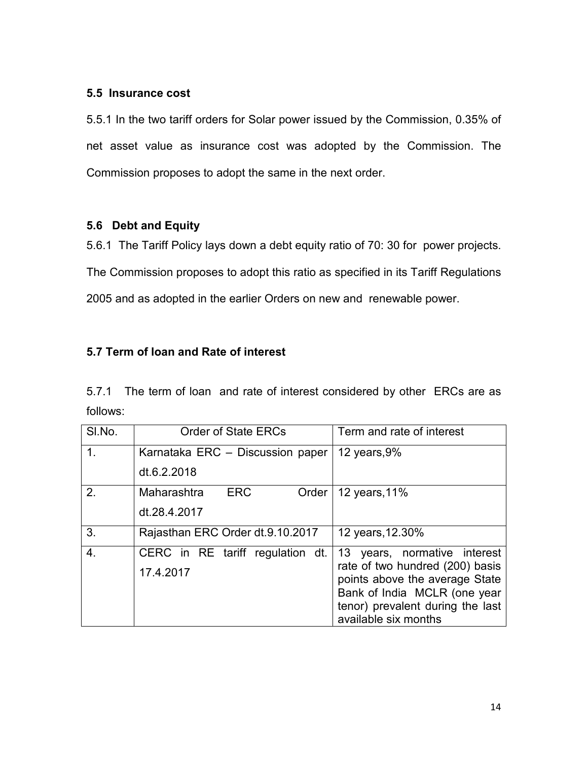### 5.5 Insurance cost

5.5.1 In the two tariff orders for Solar power issued by the Commission, 0.35% of net asset value as insurance cost was adopted by the Commission. The Commission proposes to adopt the same in the next order.

## 5.6 Debt and Equity

5.6.1 The Tariff Policy lays down a debt equity ratio of 70: 30 for power projects. The Commission proposes to adopt this ratio as specified in its Tariff Regulations 2005 and as adopted in the earlier Orders on new and renewable power.

# 5.7 Term of loan and Rate of interest

5.7.1 The term of loan and rate of interest considered by other ERCs are as follows:

| SI.No.           | <b>Order of State ERCs</b>         | Term and rate of interest                                         |
|------------------|------------------------------------|-------------------------------------------------------------------|
| 1 <sub>1</sub>   | Karnataka ERC - Discussion paper   | 12 years, $9%$                                                    |
|                  | dt.6.2.2018                        |                                                                   |
| 2.               | <b>ERC</b><br>Maharashtra<br>Order | 12 years, 11%                                                     |
|                  | dt.28.4.2017                       |                                                                   |
| 3.               | Rajasthan ERC Order dt.9.10.2017   | 12 years, 12.30%                                                  |
| $\overline{4}$ . | CERC in RE tariff regulation dt.   | 13 years, normative interest                                      |
|                  | 17.4.2017                          | rate of two hundred (200) basis<br>points above the average State |
|                  |                                    | Bank of India MCLR (one year                                      |
|                  |                                    | tenor) prevalent during the last                                  |
|                  |                                    | available six months                                              |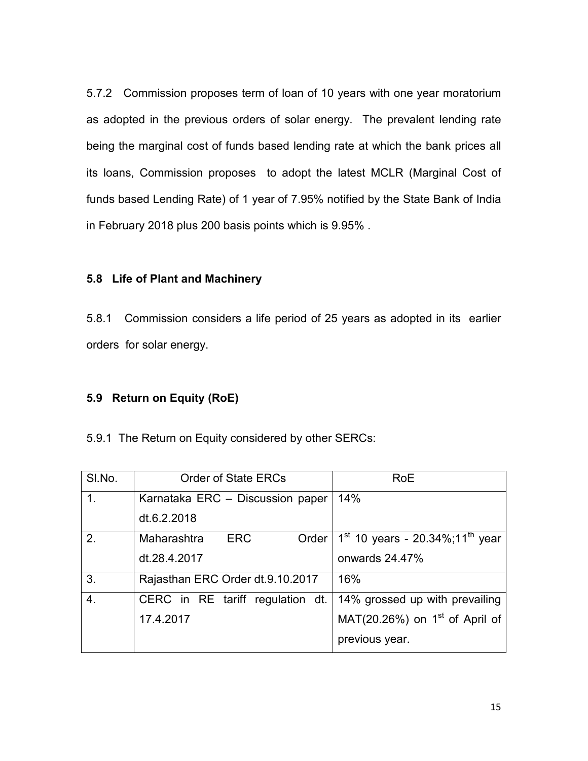5.7.2 Commission proposes term of loan of 10 years with one year moratorium as adopted in the previous orders of solar energy. The prevalent lending rate being the marginal cost of funds based lending rate at which the bank prices all its loans, Commission proposes to adopt the latest MCLR (Marginal Cost of funds based Lending Rate) of 1 year of 7.95% notified by the State Bank of India in February 2018 plus 200 basis points which is 9.95% .

## 5.8 Life of Plant and Machinery

5.8.1 Commission considers a life period of 25 years as adopted in its earlier orders for solar energy.

## 5.9 Return on Equity (RoE)

|  |  |  | 5.9.1 The Return on Equity considered by other SERCs: |  |
|--|--|--|-------------------------------------------------------|--|
|--|--|--|-------------------------------------------------------|--|

| SI.No.           | <b>Order of State ERCs</b>         | <b>RoE</b>                                    |
|------------------|------------------------------------|-----------------------------------------------|
| $\mathbf{1}$ .   | Karnataka ERC - Discussion paper   | 14%                                           |
|                  | dt.6.2.2018                        |                                               |
| 2 <sub>1</sub>   | <b>ERC</b><br>Maharashtra<br>Order | $1st$ 10 years - 20.34%;11 <sup>th</sup> year |
|                  | dt.28.4.2017                       | onwards 24.47%                                |
| 3.               | Rajasthan ERC Order dt.9.10.2017   | 16%                                           |
| $\overline{4}$ . | CERC in RE tariff regulation dt.   | 14% grossed up with prevailing                |
|                  | 17.4.2017                          | MAT(20.26%) on $1st$ of April of              |
|                  |                                    | previous year.                                |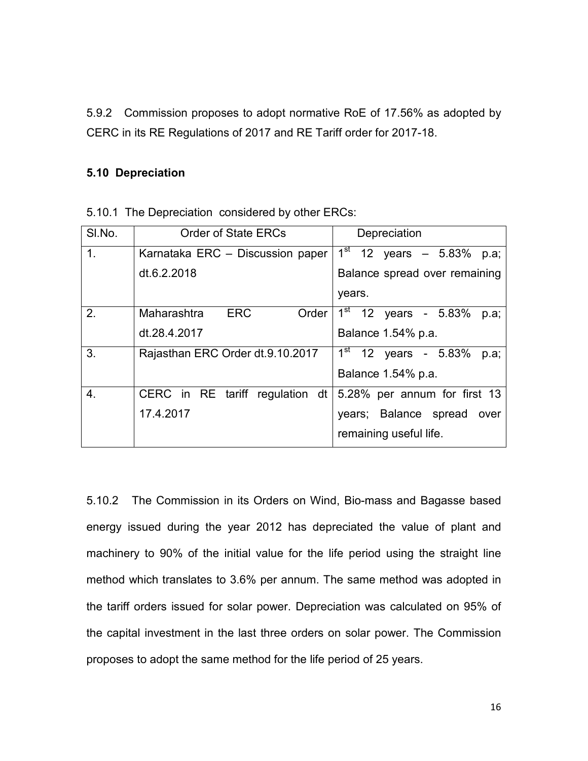5.9.2 Commission proposes to adopt normative RoE of 17.56% as adopted by CERC in its RE Regulations of 2017 and RE Tariff order for 2017-18.

### 5.10 Depreciation

| SI.No.           | <b>Order of State ERCs</b>       | Depreciation                   |
|------------------|----------------------------------|--------------------------------|
| 1 <sub>1</sub>   | Karnataka ERC - Discussion paper | $1^{st}$ 12 years - 5.83% p.a; |
|                  | dt.6.2.2018                      | Balance spread over remaining  |
|                  |                                  | years.                         |
| 2.               | ERC<br>Maharashtra<br>Order      | $1st$ 12 years - 5.83%<br>p.a; |
|                  | dt.28.4.2017                     | Balance 1.54% p.a.             |
| 3.               | Rajasthan ERC Order dt.9.10.2017 | $1st$ 12 years - 5.83%<br>p.a; |
|                  |                                  | Balance 1.54% p.a.             |
| $\overline{4}$ . | CERC in RE tariff regulation dt  | 5.28% per annum for first 13   |
|                  | 17.4.2017                        | years; Balance spread<br>over  |
|                  |                                  | remaining useful life.         |

5.10.1 The Depreciation considered by other ERCs:

5.10.2 The Commission in its Orders on Wind, Bio-mass and Bagasse based energy issued during the year 2012 has depreciated the value of plant and machinery to 90% of the initial value for the life period using the straight line method which translates to 3.6% per annum. The same method was adopted in the tariff orders issued for solar power. Depreciation was calculated on 95% of the capital investment in the last three orders on solar power. The Commission proposes to adopt the same method for the life period of 25 years.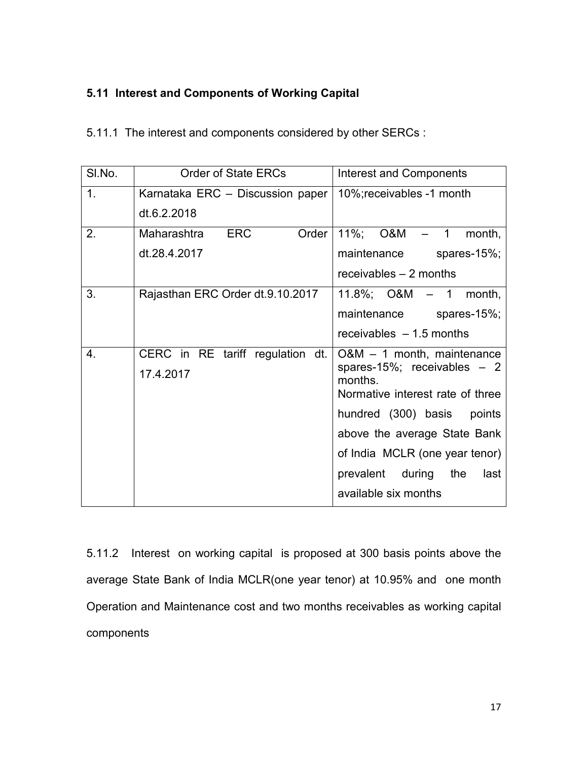# 5.11 Interest and Components of Working Capital

| SI.No.           | Order of State ERCs                | <b>Interest and Components</b>          |
|------------------|------------------------------------|-----------------------------------------|
| 1 <sub>1</sub>   | Karnataka ERC - Discussion paper   | 10%; receivables -1 month               |
|                  | dt.6.2.2018                        |                                         |
| 2.               | <b>ERC</b><br>Order<br>Maharashtra | 11%; O&M<br>$-1$<br>month,              |
|                  | dt.28.4.2017                       | maintenance<br>spares-15%;              |
|                  |                                    | receivables $-2$ months                 |
| 3.               | Rajasthan ERC Order dt.9.10.2017   | 11.8%; $O&M - 1$ month,                 |
|                  |                                    | maintenance spares-15%;                 |
|                  |                                    | receivables $-1.5$ months               |
| $\overline{4}$ . | CERC in RE tariff regulation dt.   | $O&M - 1$ month, maintenance            |
|                  | 17.4.2017                          | spares-15%; receivables $-2$<br>months. |
|                  |                                    | Normative interest rate of three        |
|                  |                                    | hundred (300) basis points              |
|                  |                                    | above the average State Bank            |
|                  |                                    | of India MCLR (one year tenor)          |
|                  |                                    | prevalent during<br>the<br>last         |
|                  |                                    | available six months                    |

5.11.2 Interest on working capital is proposed at 300 basis points above the average State Bank of India MCLR(one year tenor) at 10.95% and one month Operation and Maintenance cost and two months receivables as working capital components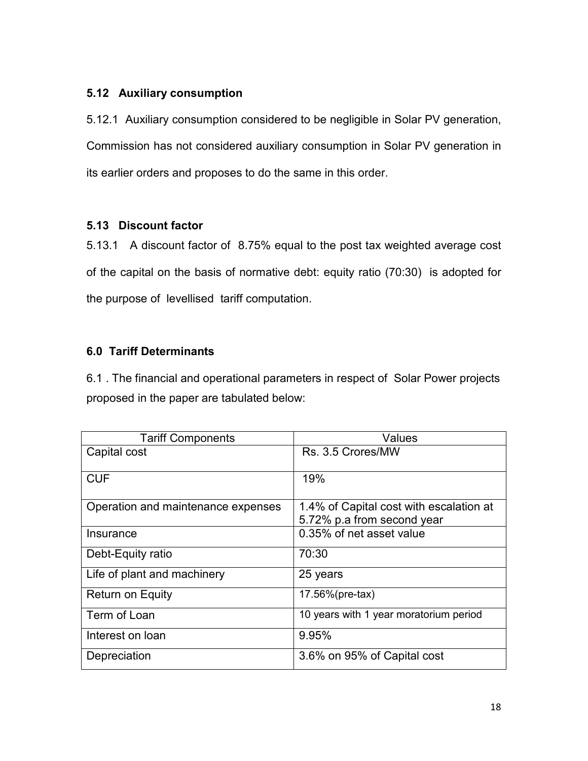## 5.12 Auxiliary consumption

5.12.1 Auxiliary consumption considered to be negligible in Solar PV generation, Commission has not considered auxiliary consumption in Solar PV generation in its earlier orders and proposes to do the same in this order.

## 5.13 Discount factor

5.13.1 A discount factor of 8.75% equal to the post tax weighted average cost of the capital on the basis of normative debt: equity ratio (70:30) is adopted for the purpose of levellised tariff computation.

# 6.0 Tariff Determinants

6.1 . The financial and operational parameters in respect of Solar Power projects proposed in the paper are tabulated below:

| <b>Tariff Components</b>           | Values                                                                |
|------------------------------------|-----------------------------------------------------------------------|
| Capital cost                       | Rs. 3.5 Crores/MW                                                     |
| <b>CUF</b>                         | 19%                                                                   |
| Operation and maintenance expenses | 1.4% of Capital cost with escalation at<br>5.72% p.a from second year |
| Insurance                          | 0.35% of net asset value                                              |
| Debt-Equity ratio                  | 70:30                                                                 |
| Life of plant and machinery        | 25 years                                                              |
| <b>Return on Equity</b>            | 17.56%(pre-tax)                                                       |
| Term of Loan                       | 10 years with 1 year moratorium period                                |
| Interest on loan                   | 9.95%                                                                 |
| Depreciation                       | 3.6% on 95% of Capital cost                                           |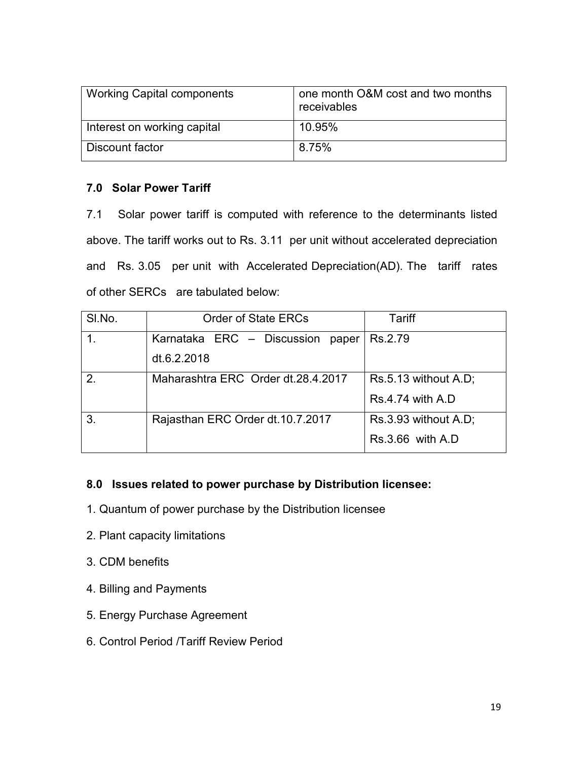| <b>Working Capital components</b> | one month O&M cost and two months<br>receivables |
|-----------------------------------|--------------------------------------------------|
| Interest on working capital       | 10.95%                                           |
| Discount factor                   | 8.75%                                            |

## 7.0 Solar Power Tariff

7.1 Solar power tariff is computed with reference to the determinants listed above. The tariff works out to Rs. 3.11 per unit without accelerated depreciation and Rs. 3.05 per unit with Accelerated Depreciation(AD). The tariff rates of other SERCs are tabulated below:

| SI.No.      | <b>Order of State ERCs</b>         | Tariff                  |
|-------------|------------------------------------|-------------------------|
| $\mathbf 1$ | Karnataka ERC - Discussion paper   | Rs.2.79                 |
|             | dt.6.2.2018                        |                         |
| 2.          | Maharashtra ERC Order dt.28.4.2017 | Rs.5.13 without A.D;    |
|             |                                    | <b>Rs.4.74 with A.D</b> |
| 3.          | Rajasthan ERC Order dt.10.7.2017   | Rs.3.93 without A.D;    |
|             |                                    | $Rs.3.66$ with $A.D$    |

# 8.0 Issues related to power purchase by Distribution licensee:

- 1. Quantum of power purchase by the Distribution licensee
- 2. Plant capacity limitations
- 3. CDM benefits
- 4. Billing and Payments
- 5. Energy Purchase Agreement
- 6. Control Period /Tariff Review Period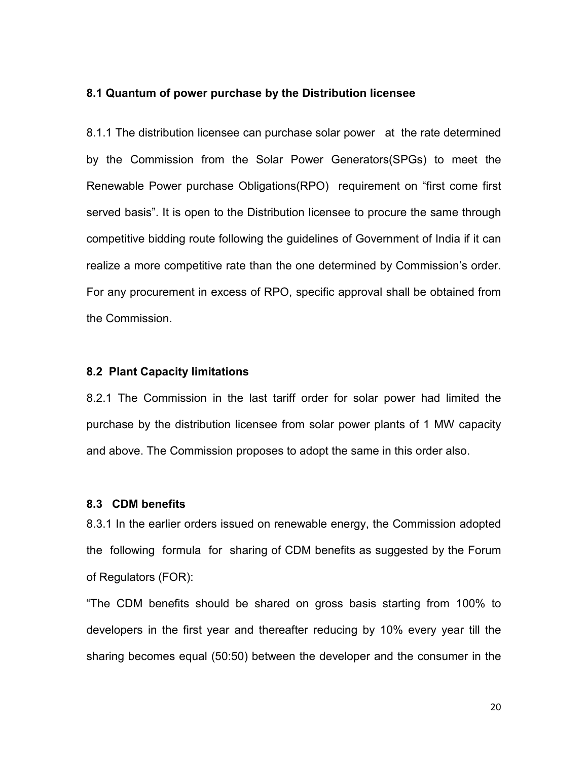#### 8.1 Quantum of power purchase by the Distribution licensee

8.1.1 The distribution licensee can purchase solar power at the rate determined by the Commission from the Solar Power Generators(SPGs) to meet the Renewable Power purchase Obligations(RPO) requirement on "first come first served basis". It is open to the Distribution licensee to procure the same through competitive bidding route following the guidelines of Government of India if it can realize a more competitive rate than the one determined by Commission's order. For any procurement in excess of RPO, specific approval shall be obtained from the Commission.

#### 8.2 Plant Capacity limitations

8.2.1 The Commission in the last tariff order for solar power had limited the purchase by the distribution licensee from solar power plants of 1 MW capacity and above. The Commission proposes to adopt the same in this order also.

#### 8.3 CDM benefits

8.3.1 In the earlier orders issued on renewable energy, the Commission adopted the following formula for sharing of CDM benefits as suggested by the Forum of Regulators (FOR):

"The CDM benefits should be shared on gross basis starting from 100% to developers in the first year and thereafter reducing by 10% every year till the sharing becomes equal (50:50) between the developer and the consumer in the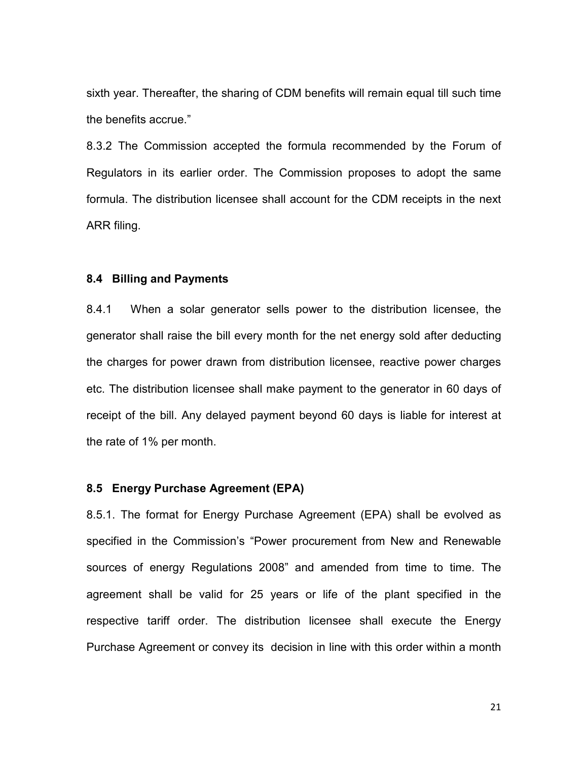sixth year. Thereafter, the sharing of CDM benefits will remain equal till such time the benefits accrue."

8.3.2 The Commission accepted the formula recommended by the Forum of Regulators in its earlier order. The Commission proposes to adopt the same formula. The distribution licensee shall account for the CDM receipts in the next ARR filing.

#### 8.4 Billing and Payments

8.4.1 When a solar generator sells power to the distribution licensee, the generator shall raise the bill every month for the net energy sold after deducting the charges for power drawn from distribution licensee, reactive power charges etc. The distribution licensee shall make payment to the generator in 60 days of receipt of the bill. Any delayed payment beyond 60 days is liable for interest at the rate of 1% per month.

#### 8.5 Energy Purchase Agreement (EPA)

8.5.1. The format for Energy Purchase Agreement (EPA) shall be evolved as specified in the Commission's "Power procurement from New and Renewable sources of energy Regulations 2008" and amended from time to time. The agreement shall be valid for 25 years or life of the plant specified in the respective tariff order. The distribution licensee shall execute the Energy Purchase Agreement or convey its decision in line with this order within a month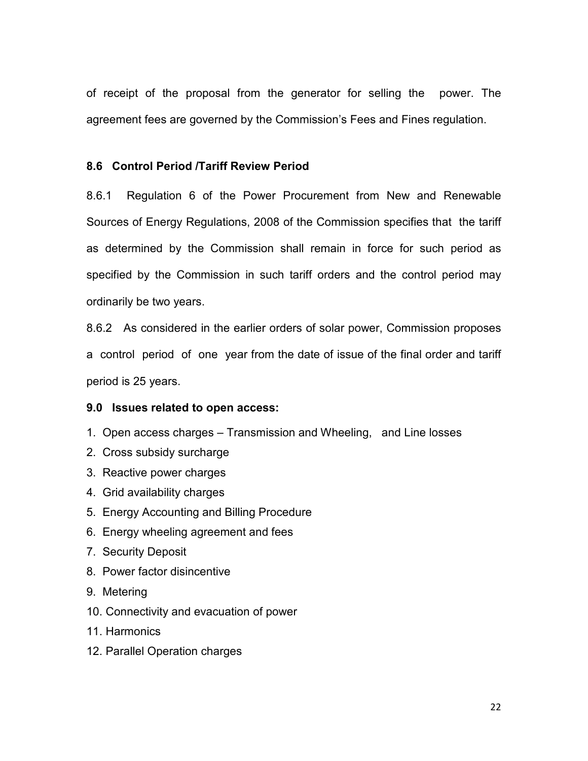of receipt of the proposal from the generator for selling the power. The agreement fees are governed by the Commission's Fees and Fines regulation.

### 8.6 Control Period /Tariff Review Period

8.6.1 Regulation 6 of the Power Procurement from New and Renewable Sources of Energy Regulations, 2008 of the Commission specifies that the tariff as determined by the Commission shall remain in force for such period as specified by the Commission in such tariff orders and the control period may ordinarily be two years.

8.6.2 As considered in the earlier orders of solar power, Commission proposes a control period of one year from the date of issue of the final order and tariff period is 25 years.

#### 9.0 Issues related to open access:

- 1. Open access charges Transmission and Wheeling, and Line losses
- 2. Cross subsidy surcharge
- 3. Reactive power charges
- 4. Grid availability charges
- 5. Energy Accounting and Billing Procedure
- 6. Energy wheeling agreement and fees
- 7. Security Deposit
- 8. Power factor disincentive
- 9. Metering
- 10. Connectivity and evacuation of power
- 11. Harmonics
- 12. Parallel Operation charges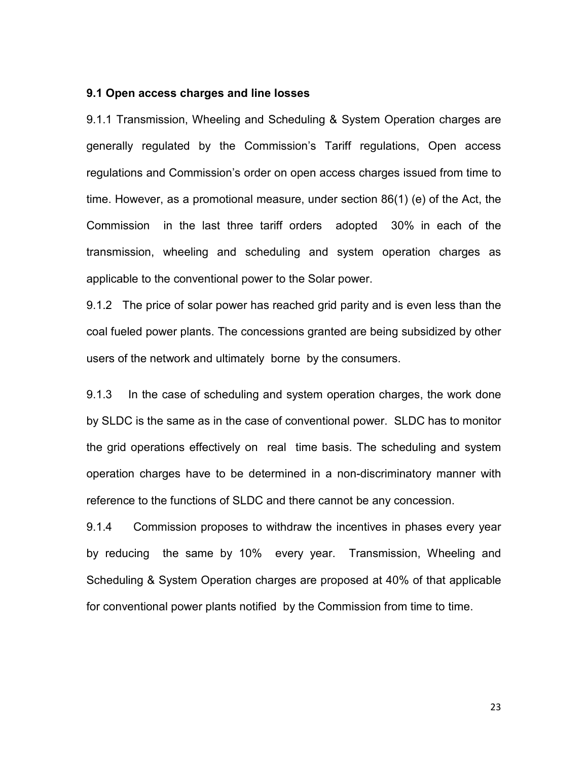#### 9.1 Open access charges and line losses

9.1.1 Transmission, Wheeling and Scheduling & System Operation charges are generally regulated by the Commission's Tariff regulations, Open access regulations and Commission's order on open access charges issued from time to time. However, as a promotional measure, under section 86(1) (e) of the Act, the Commission in the last three tariff orders adopted 30% in each of the transmission, wheeling and scheduling and system operation charges as applicable to the conventional power to the Solar power.

9.1.2 The price of solar power has reached grid parity and is even less than the coal fueled power plants. The concessions granted are being subsidized by other users of the network and ultimately borne by the consumers.

9.1.3 In the case of scheduling and system operation charges, the work done by SLDC is the same as in the case of conventional power. SLDC has to monitor the grid operations effectively on real time basis. The scheduling and system operation charges have to be determined in a non-discriminatory manner with reference to the functions of SLDC and there cannot be any concession.

9.1.4 Commission proposes to withdraw the incentives in phases every year by reducing the same by 10% every year. Transmission, Wheeling and Scheduling & System Operation charges are proposed at 40% of that applicable for conventional power plants notified by the Commission from time to time.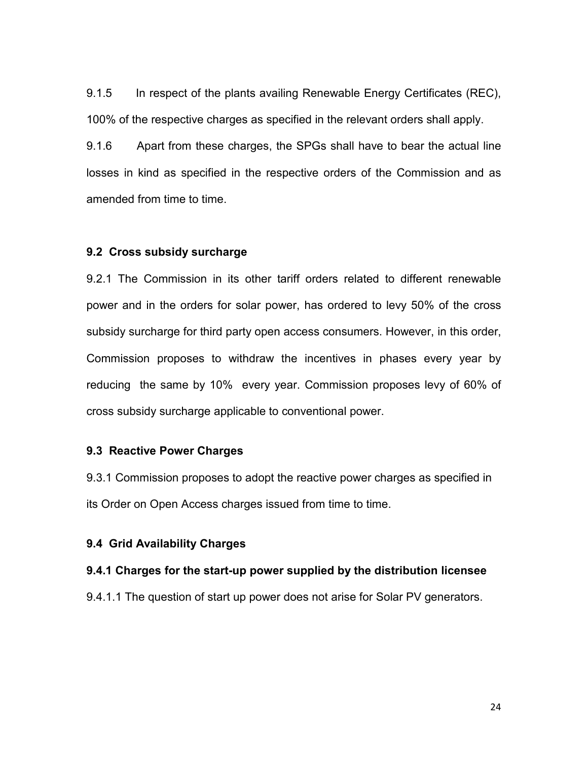9.1.5 In respect of the plants availing Renewable Energy Certificates (REC), 100% of the respective charges as specified in the relevant orders shall apply.

9.1.6 Apart from these charges, the SPGs shall have to bear the actual line losses in kind as specified in the respective orders of the Commission and as amended from time to time.

### 9.2 Cross subsidy surcharge

9.2.1 The Commission in its other tariff orders related to different renewable power and in the orders for solar power, has ordered to levy 50% of the cross subsidy surcharge for third party open access consumers. However, in this order, Commission proposes to withdraw the incentives in phases every year by reducing the same by 10% every year. Commission proposes levy of 60% of cross subsidy surcharge applicable to conventional power.

#### 9.3 Reactive Power Charges

9.3.1 Commission proposes to adopt the reactive power charges as specified in its Order on Open Access charges issued from time to time.

#### 9.4 Grid Availability Charges

#### 9.4.1 Charges for the start-up power supplied by the distribution licensee

9.4.1.1 The question of start up power does not arise for Solar PV generators.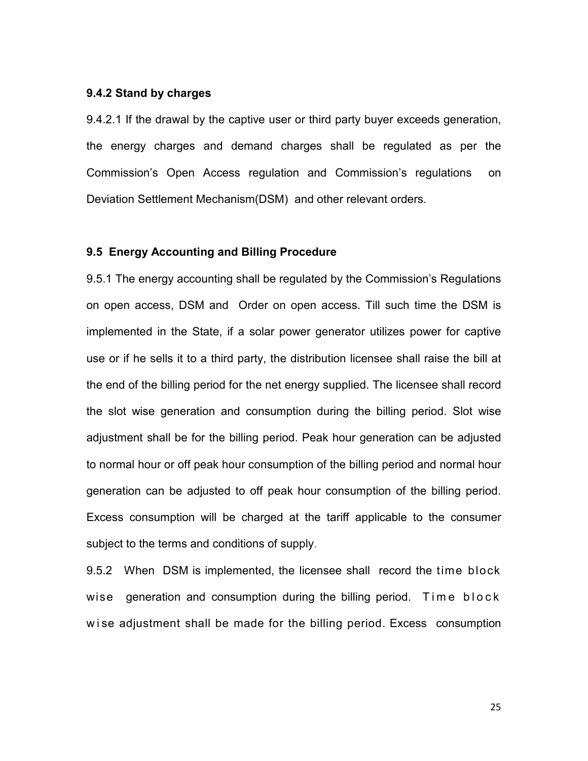#### 9.4.2 Stand by charges

9.4.2.1 If the drawal by the captive user or third party buyer exceeds generation, the energy charges and demand charges shall be regulated as per the Commission's Open Access regulation and Commission's regulations on Deviation Settlement Mechanism(DSM) and other relevant orders.

#### 9.5 Energy Accounting and Billing Procedure

9.5.1 The energy accounting shall be regulated by the Commission's Regulations on open access, DSM and Order on open access. Till such time the DSM is implemented in the State, if a solar power generator utilizes power for captive use or if he sells it to a third party, the distribution licensee shall raise the bill at the end of the billing period for the net energy supplied. The licensee shall record the slot wise generation and consumption during the billing period. Slot wise adjustment shall be for the billing period. Peak hour generation can be adjusted to normal hour or off peak hour consumption of the billing period and normal hour generation can be adjusted to off peak hour consumption of the billing period. Excess consumption will be charged at the tariff applicable to the consumer subject to the terms and conditions of supply.

9.5.2 When DSM is implemented, the licensee shall record the time block wise generation and consumption during the billing period. Time block wise adjustment shall be made for the billing period. Excess consumption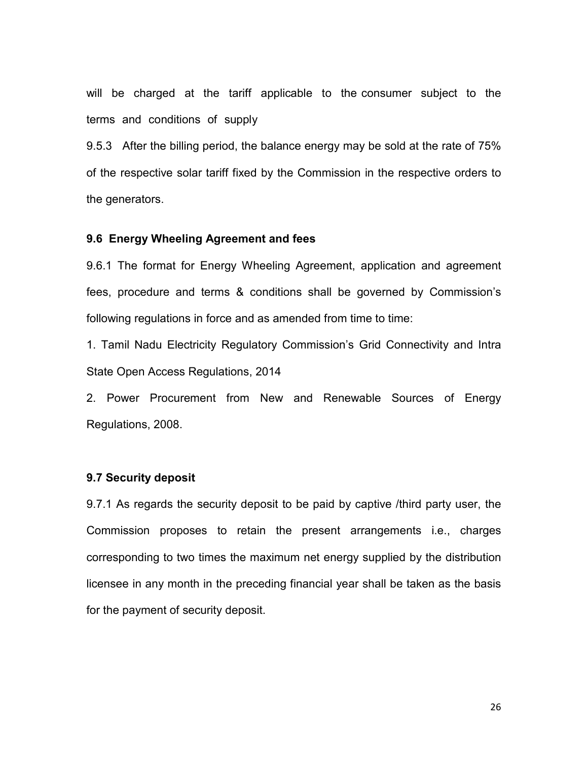will be charged at the tariff applicable to the consumer subject to the terms and conditions of supply

9.5.3 After the billing period, the balance energy may be sold at the rate of 75% of the respective solar tariff fixed by the Commission in the respective orders to the generators.

#### 9.6 Energy Wheeling Agreement and fees

9.6.1 The format for Energy Wheeling Agreement, application and agreement fees, procedure and terms & conditions shall be governed by Commission's following regulations in force and as amended from time to time:

1. Tamil Nadu Electricity Regulatory Commission's Grid Connectivity and Intra State Open Access Regulations, 2014

2. Power Procurement from New and Renewable Sources of Energy Regulations, 2008.

#### 9.7 Security deposit

9.7.1 As regards the security deposit to be paid by captive /third party user, the Commission proposes to retain the present arrangements i.e., charges corresponding to two times the maximum net energy supplied by the distribution licensee in any month in the preceding financial year shall be taken as the basis for the payment of security deposit.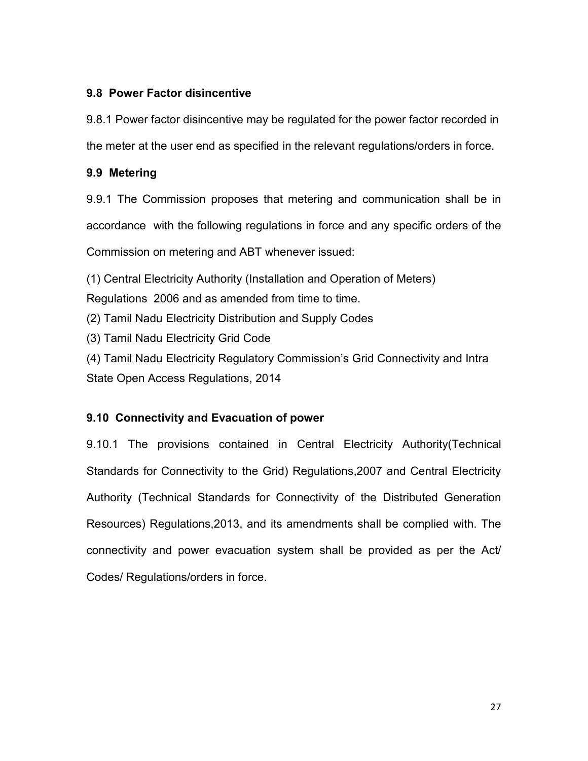## 9.8 Power Factor disincentive

9.8.1 Power factor disincentive may be regulated for the power factor recorded in the meter at the user end as specified in the relevant regulations/orders in force.

## 9.9 Metering

9.9.1 The Commission proposes that metering and communication shall be in accordance with the following regulations in force and any specific orders of the Commission on metering and ABT whenever issued:

(1) Central Electricity Authority (Installation and Operation of Meters)

Regulations 2006 and as amended from time to time.

(2) Tamil Nadu Electricity Distribution and Supply Codes

(3) Tamil Nadu Electricity Grid Code

(4) Tamil Nadu Electricity Regulatory Commission's Grid Connectivity and Intra State Open Access Regulations, 2014

# 9.10 Connectivity and Evacuation of power

9.10.1 The provisions contained in Central Electricity Authority(Technical Standards for Connectivity to the Grid) Regulations,2007 and Central Electricity Authority (Technical Standards for Connectivity of the Distributed Generation Resources) Regulations,2013, and its amendments shall be complied with. The connectivity and power evacuation system shall be provided as per the Act/ Codes/ Regulations/orders in force.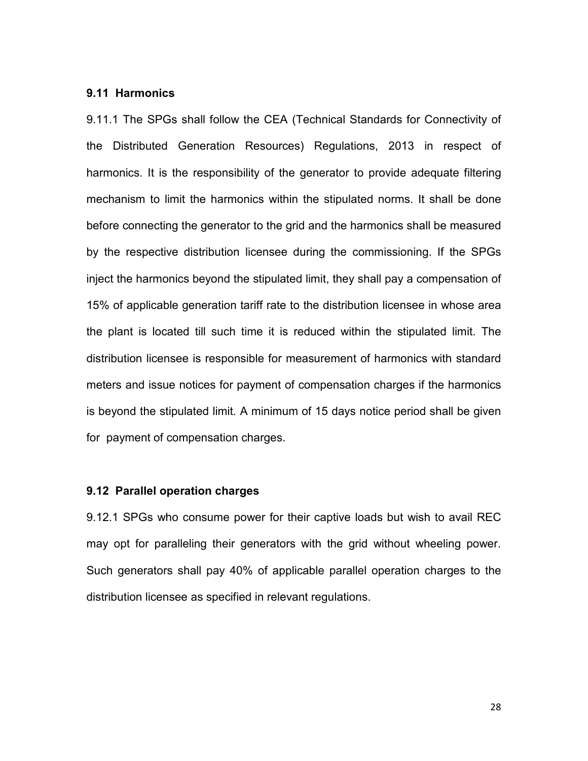#### 9.11 Harmonics

9.11.1 The SPGs shall follow the CEA (Technical Standards for Connectivity of the Distributed Generation Resources) Regulations, 2013 in respect of harmonics. It is the responsibility of the generator to provide adequate filtering mechanism to limit the harmonics within the stipulated norms. It shall be done before connecting the generator to the grid and the harmonics shall be measured by the respective distribution licensee during the commissioning. If the SPGs inject the harmonics beyond the stipulated limit, they shall pay a compensation of 15% of applicable generation tariff rate to the distribution licensee in whose area the plant is located till such time it is reduced within the stipulated limit. The distribution licensee is responsible for measurement of harmonics with standard meters and issue notices for payment of compensation charges if the harmonics is beyond the stipulated limit. A minimum of 15 days notice period shall be given for payment of compensation charges.

### 9.12 Parallel operation charges

9.12.1 SPGs who consume power for their captive loads but wish to avail REC may opt for paralleling their generators with the grid without wheeling power. Such generators shall pay 40% of applicable parallel operation charges to the distribution licensee as specified in relevant regulations.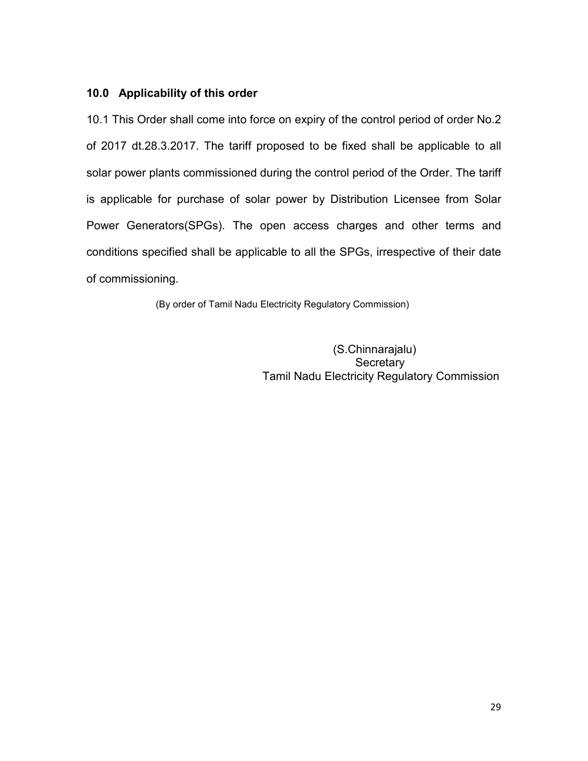### 10.0 Applicability of this order

10.1 This Order shall come into force on expiry of the control period of order No.2 of 2017 dt.28.3.2017. The tariff proposed to be fixed shall be applicable to all solar power plants commissioned during the control period of the Order. The tariff is applicable for purchase of solar power by Distribution Licensee from Solar Power Generators(SPGs). The open access charges and other terms and conditions specified shall be applicable to all the SPGs, irrespective of their date of commissioning.

(By order of Tamil Nadu Electricity Regulatory Commission)

 (S.Chinnarajalu) **Secretary** Tamil Nadu Electricity Regulatory Commission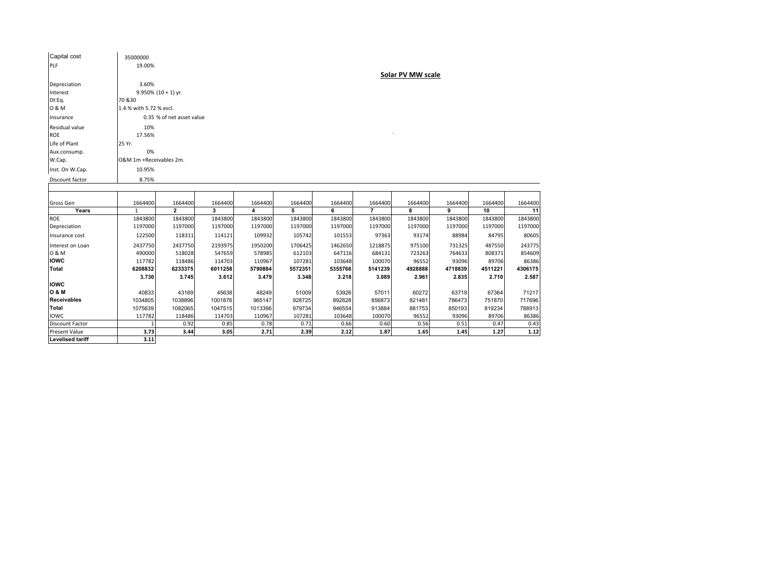| Capital cost            | 35000000                  |                        |         |         |         |         |                |                   |         |         |         |  |  |  |
|-------------------------|---------------------------|------------------------|---------|---------|---------|---------|----------------|-------------------|---------|---------|---------|--|--|--|
| PLF                     | 19.00%                    |                        |         |         |         |         |                |                   |         |         |         |  |  |  |
|                         |                           |                        |         |         |         |         |                | Solar PV MW scale |         |         |         |  |  |  |
| Depreciation            | 3.60%                     |                        |         |         |         |         |                |                   |         |         |         |  |  |  |
| Interest                |                           | $9.950\%$ (10 + 1) yr. |         |         |         |         |                |                   |         |         |         |  |  |  |
| Dt:Eq.                  | 70 & 30                   |                        |         |         |         |         |                |                   |         |         |         |  |  |  |
| 0 & M                   | 1.4.% with 5.72 % escl.   |                        |         |         |         |         |                |                   |         |         |         |  |  |  |
| Insurance               | 0.35 % of net asset value |                        |         |         |         |         |                |                   |         |         |         |  |  |  |
| Residual value          | 10%                       |                        |         |         |         |         |                |                   |         |         |         |  |  |  |
| ROE                     | 17.56%                    |                        |         |         |         |         |                |                   |         |         |         |  |  |  |
| Life of Plant           | 25 Yr.                    |                        |         |         |         |         |                |                   |         |         |         |  |  |  |
| Aux.consump.            | 0%                        |                        |         |         |         |         |                |                   |         |         |         |  |  |  |
| W.Cap.                  | O&M 1m +Receivables 2m.   |                        |         |         |         |         |                |                   |         |         |         |  |  |  |
| Inst. On W.Cap.         | 10.95%                    |                        |         |         |         |         |                |                   |         |         |         |  |  |  |
| Discount factor         | 8.75%                     |                        |         |         |         |         |                |                   |         |         |         |  |  |  |
|                         |                           |                        |         |         |         |         |                |                   |         |         |         |  |  |  |
|                         |                           |                        |         |         |         |         |                |                   |         |         |         |  |  |  |
| Gross Gen               | 1664400                   | 1664400                | 1664400 | 1664400 | 1664400 | 1664400 | 1664400        | 1664400           | 1664400 | 1664400 | 1664400 |  |  |  |
| Years                   | $\mathbf{1}$              | $\overline{2}$         | 3       | 4       | 5       | 6       | $\overline{7}$ | 8                 | 9       | 10      | 11      |  |  |  |
| <b>ROE</b>              | 1843800                   | 1843800                | 1843800 | 1843800 | 1843800 | 1843800 | 1843800        | 1843800           | 1843800 | 1843800 | 1843800 |  |  |  |
| Depreciation            | 1197000                   | 1197000                | 1197000 | 1197000 | 1197000 | 1197000 | 1197000        | 1197000           | 1197000 | 1197000 | 1197000 |  |  |  |
| Insurance cost          | 122500                    | 118311                 | 114121  | 109932  | 105742  | 101553  | 97363          | 93174             | 88984   | 84795   | 80605   |  |  |  |
| Interest on Loan        | 2437750                   | 2437750                | 2193975 | 1950200 | 1706425 | 1462650 | 1218875        | 975100            | 731325  | 487550  | 243775  |  |  |  |
| 0 & M                   | 490000                    | 518028                 | 547659  | 578985  | 612103  | 647116  | 684131         | 723263            | 764633  | 808371  | 854609  |  |  |  |
| <b>IOWC</b>             | 117782                    | 118486                 | 114703  | 110967  | 107281  | 103648  | 100070         | 96552             | 93096   | 89706   | 86386   |  |  |  |
| <b>Total</b>            | 6208832                   | 6233375                | 6011258 | 5790884 | 5572351 | 5355766 | 5141239        | 4928888           | 4718839 | 4511221 | 4306175 |  |  |  |
| <b>IOWC</b>             | 3.730                     | 3.745                  | 3.612   | 3.479   | 3.348   | 3.218   | 3.089          | 2.961             | 2.835   | 2.710   | 2.587   |  |  |  |
| <b>O &amp; M</b>        | 40833                     | 43169                  | 45638   | 48249   | 51009   | 53926   | 57011          | 60272             | 63719   | 67364   | 71217   |  |  |  |
| <b>Receivables</b>      | 1034805                   | 1038896                | 1001876 | 965147  | 928725  | 892628  | 856873         | 821481            | 786473  | 751870  | 717696  |  |  |  |
| Total                   | 1075639                   | 1082065                | 1047515 | 1013396 | 979734  | 946554  | 913884         | 881753            | 850193  | 819234  | 788913  |  |  |  |
| <b>IOWC</b>             | 117782                    | 118486                 | 114703  | 110967  | 107281  | 103648  | 100070         | 96552             | 93096   | 89706   | 86386   |  |  |  |
| <b>Discount Factor</b>  |                           | 0.92                   | 0.85    | 0.78    | 0.71    | 0.66    | 0.60           | 0.56              | 0.51    | 0.47    | 0.43    |  |  |  |
| <b>Present Value</b>    | 3.73                      | 3.44                   | 3.05    | 2.71    | 2.39    | 2.12    | 1.87           | 1.65              | 1.45    | 1.27    | 1.12    |  |  |  |
| <b>Levelised tariff</b> | 3.11                      |                        |         |         |         |         |                |                   |         |         |         |  |  |  |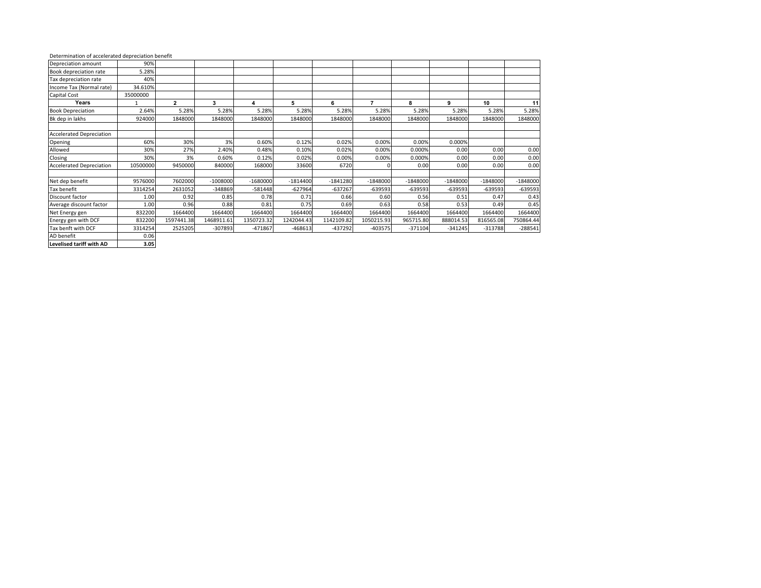| Determination of accelerated depreciation benefit |  |  |
|---------------------------------------------------|--|--|
|                                                   |  |  |

| Depreciation amount             | 90%      |              |            |            |            |            |            |            |            |            |            |
|---------------------------------|----------|--------------|------------|------------|------------|------------|------------|------------|------------|------------|------------|
| Book depreciation rate          | 5.28%    |              |            |            |            |            |            |            |            |            |            |
| Tax depreciation rate           | 40%      |              |            |            |            |            |            |            |            |            |            |
| Income Tax (Normal rate)        | 34.610%  |              |            |            |            |            |            |            |            |            |            |
| Capital Cost                    | 35000000 |              |            |            |            |            |            |            |            |            |            |
| Years                           |          | $\mathbf{2}$ | 3          | 4          | 5          | 6          | 7          | 8          | 9          | 10         | 11         |
| <b>Book Depreciation</b>        | 2.64%    | 5.28%        | 5.28%      | 5.28%      | 5.28%      | 5.28%      | 5.28%      | 5.28%      | 5.28%      | 5.28%      | 5.28%      |
| Bk dep in lakhs                 | 924000   | 1848000      | 1848000    | 1848000    | 1848000    | 1848000    | 1848000    | 1848000    | 1848000    | 1848000    | 1848000    |
| <b>Accelerated Depreciation</b> |          |              |            |            |            |            |            |            |            |            |            |
| Opening                         | 60%      | 30%          | 3%         | 0.60%      | 0.12%      | 0.02%      | 0.00%      | 0.00%      | 0.000%     |            |            |
| Allowed                         | 30%      | 27%          | 2.40%      | 0.48%      | 0.10%      | 0.02%      | 0.00%      | 0.000%     | 0.00       | 0.00       | 0.00       |
| Closing                         | 30%      | 3%           | 0.60%      | 0.12%      | 0.02%      | 0.00%      | 0.00%      | 0.000%     | 0.00       | 0.00       | 0.00       |
| <b>Accelerated Depreciation</b> | 10500000 | 9450000      | 840000     | 168000     | 33600      | 6720       | n          | 0.00       | 0.00       | 0.00       | 0.00       |
| Net dep benefit                 | 9576000  | 7602000      | $-1008000$ | $-1680000$ | $-1814400$ | $-1841280$ | $-1848000$ | $-1848000$ | $-1848000$ | $-1848000$ | $-1848000$ |
| Tax benefit                     | 3314254  | 2631052      | -348869    | $-581448$  | $-627964$  | $-637267$  | $-639593$  | $-639593$  | -639593    | $-639593$  | $-639593$  |
| Discount factor                 | 1.00     | 0.92         | 0.85       | 0.78       | 0.71       | 0.66       | 0.60       | 0.56       | 0.51       | 0.47       | 0.43       |
| Average discount factor         | 1.00     | 0.96         | 0.88       | 0.81       | 0.75       | 0.69       | 0.63       | 0.58       | 0.53       | 0.49       | 0.45       |
| Net Energy gen                  | 832200   | 1664400      | 1664400    | 1664400    | 1664400    | 1664400    | 1664400    | 1664400    | 1664400    | 1664400    | 1664400    |
| Energy gen with DCF             | 832200   | 1597441.38   | 1468911.61 | 1350723.32 | 1242044.43 | 1142109.82 | 1050215.93 | 965715.80  | 888014.53  | 816565.08  | 750864.44  |
| Tax benft with DCF              | 3314254  | 2525205      | -307893    | $-471867$  | $-468613$  | $-437292$  | $-403575$  | $-371104$  | $-341245$  | $-313788$  | $-288541$  |
| AD benefit                      | 0.06     |              |            |            |            |            |            |            |            |            |            |

Levelised tariff with AD

 $3.05$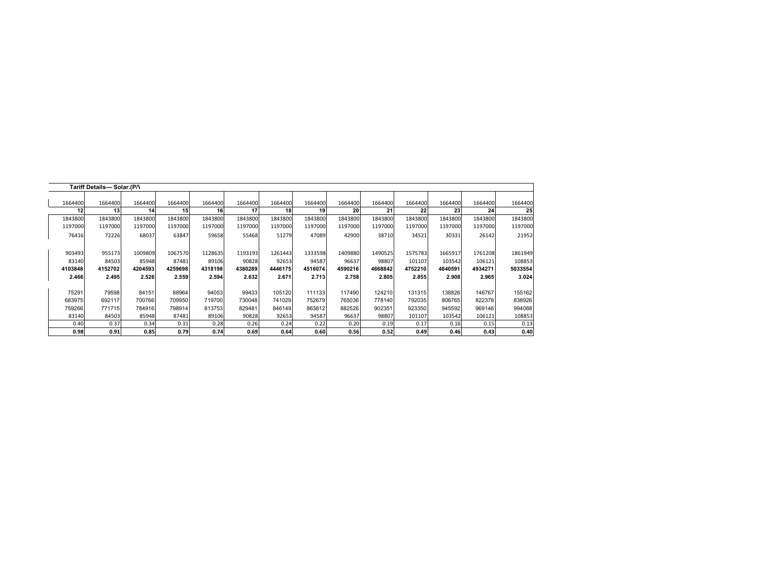|         | Tariff Details--- Solar.(P/\ |         |                 |         |         |         |         |         |         |         |         |         |         |
|---------|------------------------------|---------|-----------------|---------|---------|---------|---------|---------|---------|---------|---------|---------|---------|
|         |                              |         |                 |         |         |         |         |         |         |         |         |         |         |
| 1664400 | 1664400                      | 1664400 | 1664400         | 1664400 | 1664400 | 1664400 | 1664400 | 1664400 | 1664400 | 1664400 | 1664400 | 1664400 | 1664400 |
| 12      | 13                           | 14      | 15 <sup>1</sup> | 16      | 17      | 18      | 19      | 20      | 21      | 22      | 23      | 24      | 25      |
| 1843800 | 1843800                      | 1843800 | 1843800         | 1843800 | 1843800 | 1843800 | 1843800 | 1843800 | 1843800 | 1843800 | 1843800 | 1843800 | 1843800 |
| 1197000 | 1197000                      | 1197000 | 1197000         | 1197000 | 1197000 | 1197000 | 1197000 | 1197000 | 1197000 | 1197000 | 1197000 | 1197000 | 1197000 |
| 76416   | 72226                        | 68037   | 63847           | 59658   | 55468   | 51279   | 47089   | 42900   | 38710   | 34521   | 30331   | 26142   | 21952   |
|         |                              |         |                 |         |         |         |         |         |         |         |         |         |         |
| 903493  | 955173                       | 1009809 | 1067570         | 1128635 | 1193193 | 1261443 | 1333598 | 1409880 | 1490525 | 1575783 | 1665917 | 1761208 | 1861949 |
| 83140   | 84503                        | 85948   | 87481           | 89106   | 90828   | 92653   | 94587   | 96637   | 98807   | 101107  | 103542  | 106121  | 108853  |
| 4103848 | 4152702                      | 4204593 | 4259698         | 4318198 | 4380289 | 4446175 | 4516074 | 4590216 | 4668842 | 4752210 | 4840591 | 4934271 | 5033554 |
| 2.466   | 2.495                        | 2.526   | 2.559           | 2.594   | 2.632   | 2.671   | 2.713   | 2.758   | 2.805   | 2.855   | 2.908   | 2.965   | 3.024   |
|         |                              |         |                 |         |         |         |         |         |         |         |         |         |         |
| 75291   | 79598                        | 84151   | 88964           | 94053   | 99433   | 105120  | 111133  | 117490  | 124210  | 131315  | 138826  | 146767  | 155162  |
| 683975  | 692117                       | 700766  | 709950          | 719700  | 730048  | 741029  | 752679  | 765036  | 778140  | 792035  | 806765  | 822378  | 838926  |
| 759266  | 771715                       | 784916  | 798914          | 813753  | 829481  | 846149  | 863812  | 882526  | 902351  | 923350  | 945592  | 969146  | 994088  |
| 83140   | 84503                        | 85948   | 87481           | 89106   | 90828   | 92653   | 94587   | 96637   | 98807   | 101107  | 103542  | 106121  | 108853  |
| 0.40    | 0.37                         | 0.34    | 0.31            | 0.28    | 0.26    | 0.24    | 0.22    | 0.20    | 0.19    | 0.17    | 0.16    | 0.15    | 0.13    |
| 0.98    | 0.91                         | 0.85    | 0.79            | 0.74    | 0.69    | 0.64    | 0.60    | 0.56    | 0.52    | 0.49    | 0.46    | 0.43    | 0.40    |